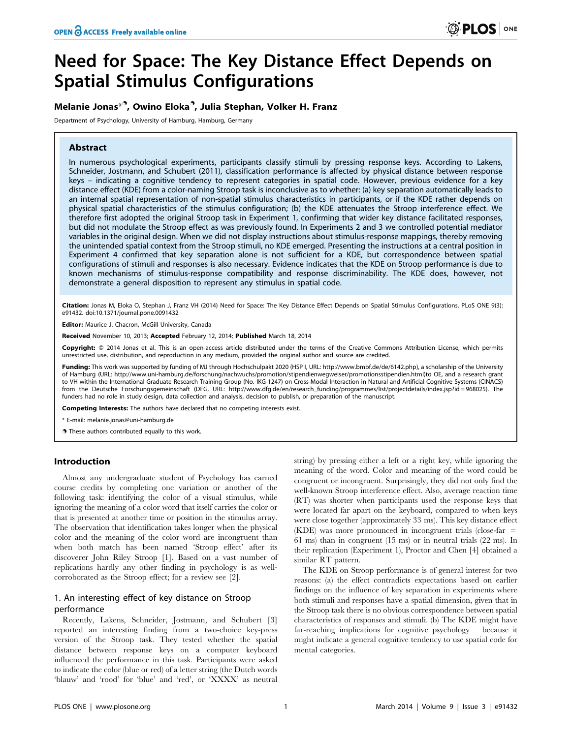# Need for Space: The Key Distance Effect Depends on Spatial Stimulus Configurations

# Melanie Jonas\*<sup>9</sup>, Owino Eloka<sup>9</sup>, Julia Stephan, Volker H. Franz

Department of Psychology, University of Hamburg, Hamburg, Germany

# Abstract

In numerous psychological experiments, participants classify stimuli by pressing response keys. According to Lakens, Schneider, Jostmann, and Schubert (2011), classification performance is affected by physical distance between response keys – indicating a cognitive tendency to represent categories in spatial code. However, previous evidence for a key distance effect (KDE) from a color-naming Stroop task is inconclusive as to whether: (a) key separation automatically leads to an internal spatial representation of non-spatial stimulus characteristics in participants, or if the KDE rather depends on physical spatial characteristics of the stimulus configuration; (b) the KDE attenuates the Stroop interference effect. We therefore first adopted the original Stroop task in Experiment 1, confirming that wider key distance facilitated responses, but did not modulate the Stroop effect as was previously found. In Experiments 2 and 3 we controlled potential mediator variables in the original design. When we did not display instructions about stimulus-response mappings, thereby removing the unintended spatial context from the Stroop stimuli, no KDE emerged. Presenting the instructions at a central position in Experiment 4 confirmed that key separation alone is not sufficient for a KDE, but correspondence between spatial configurations of stimuli and responses is also necessary. Evidence indicates that the KDE on Stroop performance is due to known mechanisms of stimulus-response compatibility and response discriminability. The KDE does, however, not demonstrate a general disposition to represent any stimulus in spatial code.

Citation: Jonas M, Eloka O, Stephan J, Franz VH (2014) Need for Space: The Key Distance Effect Depends on Spatial Stimulus Configurations. PLoS ONE 9(3): e91432. doi:10.1371/journal.pone.0091432

Editor: Maurice J. Chacron, McGill University, Canada

Received November 10, 2013; Accepted February 12, 2014; Published March 18, 2014

Copyright: © 2014 Jonas et al. This is an open-access article distributed under the terms of the [Creative Commons Attribution License,](http://creativecommons.org/licenses/by/4.0/) which permits unrestricted use, distribution, and reproduction in any medium, provided the original author and source are credited.

Funding: This work was supported by funding of MJ through Hochschulpakt 2020 (HSP I, URL: http://www.bmbf.de/de/6142.php), a scholarship of the University of Hamburg (URL: http://www.uni-hamburg.de/forschung/nachwuchs/promotion/stipendienwegweiser/promotionsstipendien.html)to OE, and a research grant to VH within the International Graduate Research Training Group (No. IKG-1247) on Cross-Modal Interaction in Natural and Artificial Cognitive Systems (CINACS) from the Deutsche Forschungsgemeinschaft (DFG, URL: http://www.dfg.de/en/research\_funding/programmes/list/projectdetails/index.jsp?id=968025). The<br>funders had no role in study design, data collection and analysis, decision

Competing Interests: The authors have declared that no competing interests exist.

\* E-mail: melanie.jonas@uni-hamburg.de

. These authors contributed equally to this work.

# Introduction

Almost any undergraduate student of Psychology has earned course credits by completing one variation or another of the following task: identifying the color of a visual stimulus, while ignoring the meaning of a color word that itself carries the color or that is presented at another time or position in the stimulus array. The observation that identification takes longer when the physical color and the meaning of the color word are incongruent than when both match has been named 'Stroop effect' after its discoverer John Riley Stroop [1]. Based on a vast number of replications hardly any other finding in psychology is as wellcorroborated as the Stroop effect; for a review see [2].

# 1. An interesting effect of key distance on Stroop performance

Recently, Lakens, Schneider, Jostmann, and Schubert [3] reported an interesting finding from a two-choice key-press version of the Stroop task. They tested whether the spatial distance between response keys on a computer keyboard influenced the performance in this task. Participants were asked to indicate the color (blue or red) of a letter string (the Dutch words 'blauw' and 'rood' for 'blue' and 'red', or 'XXXX' as neutral

string) by pressing either a left or a right key, while ignoring the meaning of the word. Color and meaning of the word could be congruent or incongruent. Surprisingly, they did not only find the well-known Stroop interference effect. Also, average reaction time (RT) was shorter when participants used the response keys that were located far apart on the keyboard, compared to when keys were close together (approximately 33 ms). This key distance effect  $(KDE)$  was more pronounced in incongruent trials (close-far  $=$ 61 ms) than in congruent (15 ms) or in neutral trials (22 ms). In their replication (Experiment 1), Proctor and Chen [4] obtained a similar RT pattern.

The KDE on Stroop performance is of general interest for two reasons: (a) the effect contradicts expectations based on earlier findings on the influence of key separation in experiments where both stimuli and responses have a spatial dimension, given that in the Stroop task there is no obvious correspondence between spatial characteristics of responses and stimuli. (b) The KDE might have far-reaching implications for cognitive psychology – because it might indicate a general cognitive tendency to use spatial code for mental categories.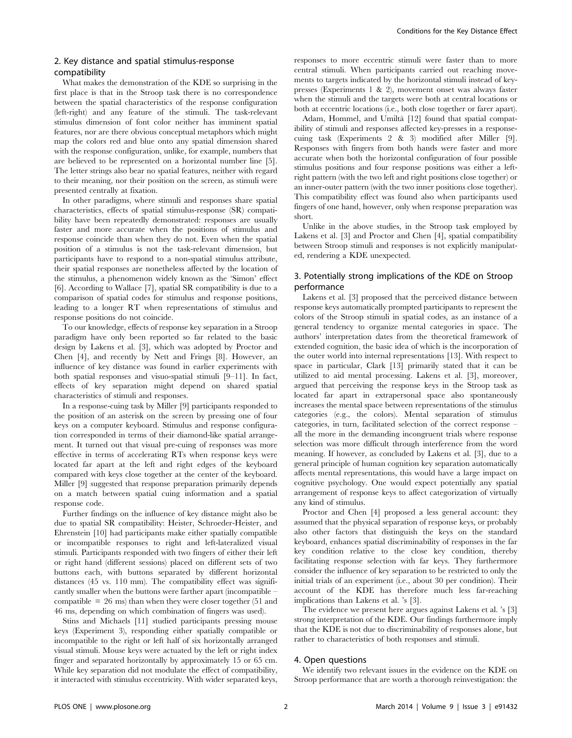# 2. Key distance and spatial stimulus-response compatibility

What makes the demonstration of the KDE so surprising in the first place is that in the Stroop task there is no correspondence between the spatial characteristics of the response configuration (left-right) and any feature of the stimuli. The task-relevant stimulus dimension of font color neither has imminent spatial features, nor are there obvious conceptual metaphors which might map the colors red and blue onto any spatial dimension shared with the response configuration, unlike, for example, numbers that are believed to be represented on a horizontal number line [5]. The letter strings also bear no spatial features, neither with regard to their meaning, nor their position on the screen, as stimuli were presented centrally at fixation.

In other paradigms, where stimuli and responses share spatial characteristics, effects of spatial stimulus-response (SR) compatibility have been repeatedly demonstrated: responses are usually faster and more accurate when the positions of stimulus and response coincide than when they do not. Even when the spatial position of a stimulus is not the task-relevant dimension, but participants have to respond to a non-spatial stimulus attribute, their spatial responses are nonetheless affected by the location of the stimulus, a phenomenon widely known as the 'Simon' effect [6]. According to Wallace [7], spatial SR compatibility is due to a comparison of spatial codes for stimulus and response positions, leading to a longer RT when representations of stimulus and response positions do not coincide.

To our knowledge, effects of response key separation in a Stroop paradigm have only been reported so far related to the basic design by Lakens et al. [3], which was adopted by Proctor and Chen [4], and recently by Nett and Frings [8]. However, an influence of key distance was found in earlier experiments with both spatial responses and visuo-spatial stimuli [9–11]. In fact, effects of key separation might depend on shared spatial characteristics of stimuli and responses.

In a response-cuing task by Miller [9] participants responded to the position of an asterisk on the screen by pressing one of four keys on a computer keyboard. Stimulus and response configuration corresponded in terms of their diamond-like spatial arrangement. It turned out that visual pre-cuing of responses was more effective in terms of accelerating RTs when response keys were located far apart at the left and right edges of the keyboard compared with keys close together at the center of the keyboard. Miller [9] suggested that response preparation primarily depends on a match between spatial cuing information and a spatial response code.

Further findings on the influence of key distance might also be due to spatial SR compatibility: Heister, Schroeder-Heister, and Ehrenstein [10] had participants make either spatially compatible or incompatible responses to right and left-lateralized visual stimuli. Participants responded with two fingers of either their left or right hand (different sessions) placed on different sets of two buttons each, with buttons separated by different horizontal distances (45 vs. 110 mm). The compatibility effect was significantly smaller when the buttons were farther apart (incompatible – compatible  $= 26$  ms) than when they were closer together (51 and 46 ms, depending on which combination of fingers was used).

Stins and Michaels [11] studied participants pressing mouse keys (Experiment 3), responding either spatially compatible or incompatible to the right or left half of six horizontally arranged visual stimuli. Mouse keys were actuated by the left or right index finger and separated horizontally by approximately 15 or 65 cm. While key separation did not modulate the effect of compatibility, it interacted with stimulus eccentricity. With wider separated keys, responses to more eccentric stimuli were faster than to more central stimuli. When participants carried out reaching movements to targets indicated by the horizontal stimuli instead of keypresses (Experiments 1 & 2), movement onset was always faster when the stimuli and the targets were both at central locations or both at eccentric locations (i.e., both close together or farer apart).

Adam, Hommel, and Umiltà [12] found that spatial compatibility of stimuli and responses affected key-presses in a responsecuing task (Experiments 2 & 3) modified after Miller [9]. Responses with fingers from both hands were faster and more accurate when both the horizontal configuration of four possible stimulus positions and four response positions was either a leftright pattern (with the two left and right positions close together) or an inner-outer pattern (with the two inner positions close together). This compatibility effect was found also when participants used fingers of one hand, however, only when response preparation was short.

Unlike in the above studies, in the Stroop task employed by Lakens et al. [3] and Proctor and Chen [4], spatial compatibility between Stroop stimuli and responses is not explicitly manipulated, rendering a KDE unexpected.

# 3. Potentially strong implications of the KDE on Stroop performance

Lakens et al. [3] proposed that the perceived distance between response keys automatically prompted participants to represent the colors of the Stroop stimuli in spatial codes, as an instance of a general tendency to organize mental categories in space. The authors' interpretation dates from the theoretical framework of extended cognition, the basic idea of which is the incorporation of the outer world into internal representations [13]. With respect to space in particular, Clark [13] primarily stated that it can be utilized to aid mental processing. Lakens et al. [3], moreover, argued that perceiving the response keys in the Stroop task as located far apart in extrapersonal space also spontaneously increases the mental space between representations of the stimulus categories (e.g., the colors). Mental separation of stimulus categories, in turn, facilitated selection of the correct response – all the more in the demanding incongruent trials where response selection was more difficult through interference from the word meaning. If however, as concluded by Lakens et al. [3], due to a general principle of human cognition key separation automatically affects mental representations, this would have a large impact on cognitive psychology. One would expect potentially any spatial arrangement of response keys to affect categorization of virtually any kind of stimulus.

Proctor and Chen [4] proposed a less general account: they assumed that the physical separation of response keys, or probably also other factors that distinguish the keys on the standard keyboard, enhances spatial discriminability of responses in the far key condition relative to the close key condition, thereby facilitating response selection with far keys. They furthermore consider the influence of key separation to be restricted to only the initial trials of an experiment (i.e., about 30 per condition). Their account of the KDE has therefore much less far-reaching implications than Lakens et al. 's [3].

The evidence we present here argues against Lakens et al. 's [3] strong interpretation of the KDE. Our findings furthermore imply that the KDE is not due to discriminability of responses alone, but rather to characteristics of both responses and stimuli.

# 4. Open questions

We identify two relevant issues in the evidence on the KDE on Stroop performance that are worth a thorough reinvestigation: the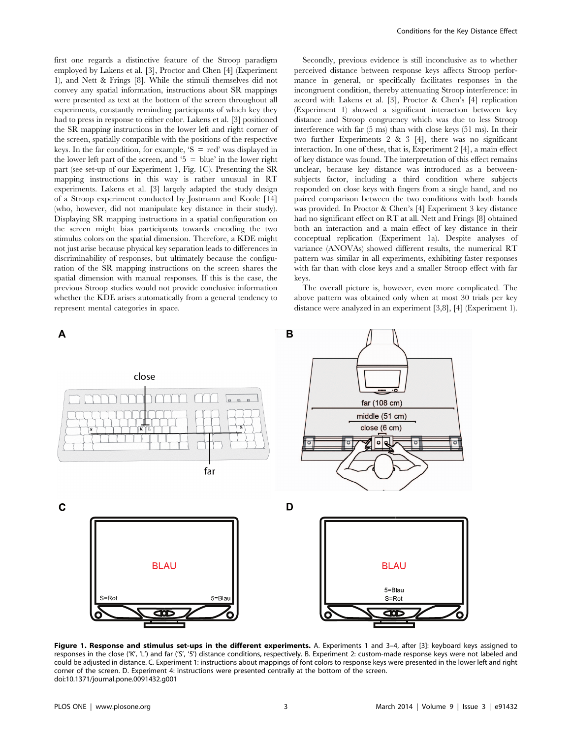first one regards a distinctive feature of the Stroop paradigm employed by Lakens et al. [3], Proctor and Chen [4] (Experiment 1), and Nett & Frings [8]. While the stimuli themselves did not convey any spatial information, instructions about SR mappings were presented as text at the bottom of the screen throughout all experiments, constantly reminding participants of which key they had to press in response to either color. Lakens et al. [3] positioned the SR mapping instructions in the lower left and right corner of the screen, spatially compatible with the positions of the respective keys. In the far condition, for example,  $S = red'$  was displayed in the lower left part of the screen, and '5  $=$  blue' in the lower right part (see set-up of our Experiment 1, Fig. 1C). Presenting the SR mapping instructions in this way is rather unusual in RT experiments. Lakens et al. [3] largely adapted the study design of a Stroop experiment conducted by Jostmann and Koole [14] (who, however, did not manipulate key distance in their study). Displaying SR mapping instructions in a spatial configuration on the screen might bias participants towards encoding the two stimulus colors on the spatial dimension. Therefore, a KDE might not just arise because physical key separation leads to differences in discriminability of responses, but ultimately because the configuration of the SR mapping instructions on the screen shares the spatial dimension with manual responses. If this is the case, the previous Stroop studies would not provide conclusive information whether the KDE arises automatically from a general tendency to represent mental categories in space.

Secondly, previous evidence is still inconclusive as to whether perceived distance between response keys affects Stroop performance in general, or specifically facilitates responses in the incongruent condition, thereby attenuating Stroop interference: in accord with Lakens et al. [3], Proctor & Chen's [4] replication (Experiment 1) showed a significant interaction between key distance and Stroop congruency which was due to less Stroop interference with far (5 ms) than with close keys (51 ms). In their two further Experiments 2 & 3 [4], there was no significant interaction. In one of these, that is, Experiment 2 [4], a main effect of key distance was found. The interpretation of this effect remains unclear, because key distance was introduced as a betweensubjects factor, including a third condition where subjects responded on close keys with fingers from a single hand, and no paired comparison between the two conditions with both hands was provided. In Proctor & Chen's [4] Experiment 3 key distance had no significant effect on RT at all. Nett and Frings [8] obtained both an interaction and a main effect of key distance in their conceptual replication (Experiment 1a). Despite analyses of variance (ANOVAs) showed different results, the numerical RT pattern was similar in all experiments, exhibiting faster responses with far than with close keys and a smaller Stroop effect with far keys.

The overall picture is, however, even more complicated. The above pattern was obtained only when at most 30 trials per key distance were analyzed in an experiment [3,8], [4] (Experiment 1).



Figure 1. Response and stimulus set-ups in the different experiments. A. Experiments 1 and 3-4, after [3]: keyboard keys assigned to responses in the close ('K', 'L') and far ('S', '5') distance conditions, respectively. B. Experiment 2: custom-made response keys were not labeled and could be adjusted in distance. C. Experiment 1: instructions about mappings of font colors to response keys were presented in the lower left and right corner of the screen. D. Experiment 4: instructions were presented centrally at the bottom of the screen. doi:10.1371/journal.pone.0091432.g001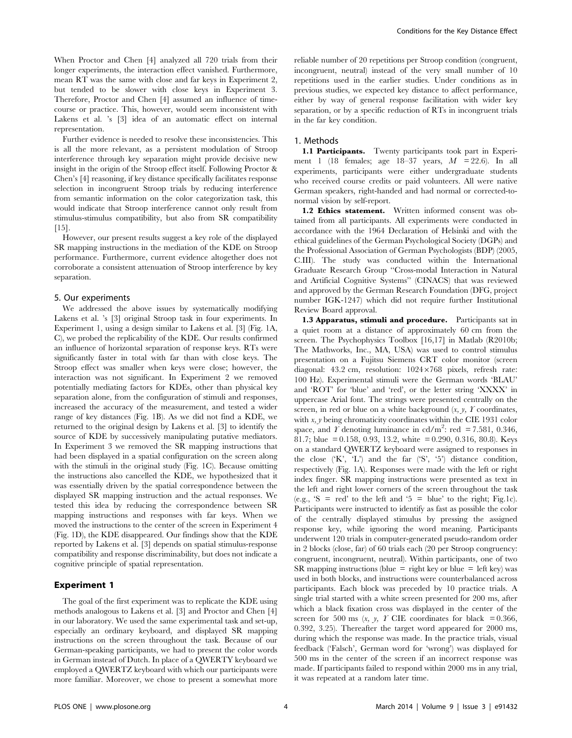When Proctor and Chen [4] analyzed all 720 trials from their longer experiments, the interaction effect vanished. Furthermore, mean RT was the same with close and far keys in Experiment 2, but tended to be slower with close keys in Experiment 3. Therefore, Proctor and Chen [4] assumed an influence of timecourse or practice. This, however, would seem inconsistent with Lakens et al. 's [3] idea of an automatic effect on internal representation.

Further evidence is needed to resolve these inconsistencies. This is all the more relevant, as a persistent modulation of Stroop interference through key separation might provide decisive new insight in the origin of the Stroop effect itself. Following Proctor & Chen's [4] reasoning, if key distance specifically facilitates response selection in incongruent Stroop trials by reducing interference from semantic information on the color categorization task, this would indicate that Stroop interference cannot only result from stimulus-stimulus compatibility, but also from SR compatibility  $[15]$ .

However, our present results suggest a key role of the displayed SR mapping instructions in the mediation of the KDE on Stroop performance. Furthermore, current evidence altogether does not corroborate a consistent attenuation of Stroop interference by key separation.

#### 5. Our experiments

We addressed the above issues by systematically modifying Lakens et al. 's [3] original Stroop task in four experiments. In Experiment 1, using a design similar to Lakens et al. [3] (Fig. 1A, C), we probed the replicability of the KDE. Our results confirmed an influence of horizontal separation of response keys. RTs were significantly faster in total with far than with close keys. The Stroop effect was smaller when keys were close; however, the interaction was not significant. In Experiment 2 we removed potentially mediating factors for KDEs, other than physical key separation alone, from the configuration of stimuli and responses, increased the accuracy of the measurement, and tested a wider range of key distances (Fig. 1B). As we did not find a KDE, we returned to the original design by Lakens et al. [3] to identify the source of KDE by successively manipulating putative mediators. In Experiment 3 we removed the SR mapping instructions that had been displayed in a spatial configuration on the screen along with the stimuli in the original study (Fig. 1C). Because omitting the instructions also cancelled the KDE, we hypothesized that it was essentially driven by the spatial correspondence between the displayed SR mapping instruction and the actual responses. We tested this idea by reducing the correspondence between SR mapping instructions and responses with far keys. When we moved the instructions to the center of the screen in Experiment 4 (Fig. 1D), the KDE disappeared. Our findings show that the KDE reported by Lakens et al. [3] depends on spatial stimulus-response compatibility and response discriminability, but does not indicate a cognitive principle of spatial representation.

# Experiment 1

The goal of the first experiment was to replicate the KDE using methods analogous to Lakens et al. [3] and Proctor and Chen [4] in our laboratory. We used the same experimental task and set-up, especially an ordinary keyboard, and displayed SR mapping instructions on the screen throughout the task. Because of our German-speaking participants, we had to present the color words in German instead of Dutch. In place of a QWERTY keyboard we employed a QWERTZ keyboard with which our participants were more familiar. Moreover, we chose to present a somewhat more

reliable number of 20 repetitions per Stroop condition (congruent, incongruent, neutral) instead of the very small number of 10 repetitions used in the earlier studies. Under conditions as in previous studies, we expected key distance to affect performance, either by way of general response facilitation with wider key separation, or by a specific reduction of RTs in incongruent trials in the far key condition.

#### 1. Methods

1.1 Participants. Twenty participants took part in Experiment 1 (18 females; age 18–37 years,  $M = 22.6$ ). In all experiments, participants were either undergraduate students who received course credits or paid volunteers. All were native German speakers, right-handed and had normal or corrected-tonormal vision by self-report.

1.2 Ethics statement. Written informed consent was obtained from all participants. All experiments were conducted in accordance with the 1964 Declaration of Helsinki and with the ethical guidelines of the German Psychological Society (DGPs) and the Professional Association of German Psychologists (BDP) (2005, C.III). The study was conducted within the International Graduate Research Group ''Cross-modal Interaction in Natural and Artificial Cognitive Systems'' (CINACS) that was reviewed and approved by the German Research Foundation (DFG, project number IGK-1247) which did not require further Institutional Review Board approval.

1.3 Apparatus, stimuli and procedure. Participants sat in a quiet room at a distance of approximately 60 cm from the screen. The Psychophysics Toolbox [16,17] in Matlab (R2010b; The Mathworks, Inc., MA, USA) was used to control stimulus presentation on a Fujitsu Siemens CRT color monitor (screen diagonal: 43.2 cm, resolution:  $1024 \times 768$  pixels, refresh rate: 100 Hz). Experimental stimuli were the German words 'BLAU' and 'ROT' for 'blue' and 'red', or the letter string 'XXXX' in uppercase Arial font. The strings were presented centrally on the screen, in red or blue on a white background  $(x, y, Y)$  coordinates, with  $x$ ,  $y$  being chromaticity coordinates within the CIE 1931 color space, and  $\hat{T}$  denoting luminance in cd/m<sup>2</sup>: red = 7.581, 0.346, 81.7; blue = 0.158, 0.93, 13.2, white = 0.290, 0.316, 80.8). Keys on a standard QWERTZ keyboard were assigned to responses in the close  $(K', L')$  and the far  $(S', 5')$  distance condition, respectively (Fig. 1A). Responses were made with the left or right index finger. SR mapping instructions were presented as text in the left and right lower corners of the screen throughout the task (e.g., 'S = red' to the left and '5 = blue' to the right; Fig.1c). Participants were instructed to identify as fast as possible the color of the centrally displayed stimulus by pressing the assigned response key, while ignoring the word meaning. Participants underwent 120 trials in computer-generated pseudo-random order in 2 blocks (close, far) of 60 trials each (20 per Stroop congruency: congruent, incongruent, neutral). Within participants, one of two SR mapping instructions (blue = right key or blue = left key) was used in both blocks, and instructions were counterbalanced across participants. Each block was preceded by 10 practice trials. A single trial started with a white screen presented for 200 ms, after which a black fixation cross was displayed in the center of the screen for 500 ms  $(x, y, Y$  CIE coordinates for black = 0.366, 0.392, 3.25). Thereafter the target word appeared for 2000 ms, during which the response was made. In the practice trials, visual feedback ('Falsch', German word for 'wrong') was displayed for 500 ms in the center of the screen if an incorrect response was made. If participants failed to respond within 2000 ms in any trial, it was repeated at a random later time.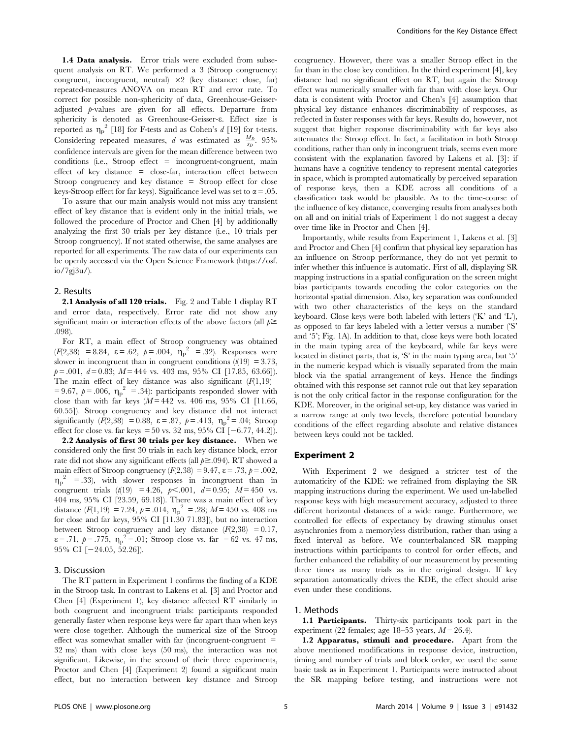1.4 Data analysis. Error trials were excluded from subsequent analysis on RT. We performed a 3 (Stroop congruency: congruent, incongruent, neutral)  $\times$ 2 (key distance: close, far) repeated-measures ANOVA on mean RT and error rate. To correct for possible non-sphericity of data, Greenhouse-Geisseradjusted p-values are given for all effects. Departure from sphericity is denoted as Greenhouse-Geisser-e. Effect size is reported as  $\eta_p^2$  [18] for F-tests and as Cohen's d [19] for t-tests. Considering repeated measures, *d* was estimated as  $\frac{M_D}{s_D}$ . 95% confidence intervals are given for the mean difference between two  $conditions$  (i.e., Stroop effect  $=$  incongruent-congruent, main effect of key distance  $=$  close-far, interaction effect between Stroop congruency and key distance  $=$  Stroop effect for close keys-Stroop effect for far keys). Significance level was set to  $\alpha = .05$ .

To assure that our main analysis would not miss any transient effect of key distance that is evident only in the initial trials, we followed the procedure of Proctor and Chen [4] by additionally analyzing the first 30 trials per key distance (i.e., 10 trials per Stroop congruency). If not stated otherwise, the same analyses are reported for all experiments. The raw data of our experiments can be openly accessed via the Open Science Framework (https://osf. io/7gj3u/).

#### 2. Results

2.1 Analysis of all 120 trials. Fig. 2 and Table 1 display RT and error data, respectively. Error rate did not show any significant main or interaction effects of the above factors (all  $p \geq$ .098).

For RT, a main effect of Stroop congruency was obtained  $(F(2,38) = 8.84, \varepsilon = .62, p = .004, \eta_p^2 = .32)$ . Responses were slower in incongruent than in congruent conditions  $(t(19) = 3.73)$ ,  $p = .001$ ,  $d = 0.83$ ;  $M = 444$  vs. 403 ms, 95% CI [17.85, 63.66]). The main effect of key distance was also significant  $(F(1,19))$ = 9.67,  $p = .006$ ,  $\eta_p^2 = .34$ ): participants responded slower with close than with far keys  $(M = 442$  vs. 406 ms, 95% CI [11.66, 60.55]). Stroop congruency and key distance did not interact significantly  $(\vec{F}(2,38)) = 0.88$ ,  $\varepsilon = .87$ ,  $p = .413$ ,  $\eta_p^2 = .04$ ; Stroop effect for close vs. far keys = 50 vs. 32 ms, 95% CI  $[-6.77, 44.2]$ .

2.2 Analysis of first 30 trials per key distance. When we considered only the first 30 trials in each key distance block, error rate did not show any significant effects (all  $p \ge 0.094$ ). RT showed a main effect of Stroop congruency ( $F(2,38) = 9.47$ ,  $\varepsilon = .73$ ,  $p = .002$ ,  $\eta_p^2$  = .33), with slower responses in incongruent than in congruent trials (t(19) = 4.26,  $p<.001$ ,  $d= 0.95$ ;  $M= 450$  vs. 404 ms, 95% CI [23.59, 69.18]). There was a main effect of key distance  $(F(1, 19) = 7.24, p = .014, \eta_p^2 = .28; M = 450$  vs. 408 ms for close and far keys, 95% CI [11.30 71.83]), but no interaction between Stroop congruency and key distance  $(F(2,38) = 0.17)$ ,  $\varepsilon$  = .71,  $p = .775$ ,  $\eta_p^2 = .01$ ; Stroop close vs. far = 62 vs. 47 ms, 95% CI  $[-24.05, 52.26]$ .

#### 3. Discussion

The RT pattern in Experiment 1 confirms the finding of a KDE in the Stroop task. In contrast to Lakens et al. [3] and Proctor and Chen [4] (Experiment 1), key distance affected RT similarly in both congruent and incongruent trials: participants responded generally faster when response keys were far apart than when keys were close together. Although the numerical size of the Stroop effect was somewhat smaller with far (incongruent-congruent  $=$ 32 ms) than with close keys (50 ms), the interaction was not significant. Likewise, in the second of their three experiments, Proctor and Chen [4] (Experiment 2) found a significant main effect, but no interaction between key distance and Stroop congruency. However, there was a smaller Stroop effect in the far than in the close key condition. In the third experiment [4], key distance had no significant effect on RT, but again the Stroop effect was numerically smaller with far than with close keys. Our data is consistent with Proctor and Chen's [4] assumption that physical key distance enhances discriminability of responses, as reflected in faster responses with far keys. Results do, however, not suggest that higher response discriminability with far keys also attenuates the Stroop effect. In fact, a facilitation in both Stroop conditions, rather than only in incongruent trials, seems even more consistent with the explanation favored by Lakens et al. [3]: if humans have a cognitive tendency to represent mental categories in space, which is prompted automatically by perceived separation of response keys, then a KDE across all conditions of a classification task would be plausible. As to the time-course of the influence of key distance, converging results from analyses both on all and on initial trials of Experiment 1 do not suggest a decay over time like in Proctor and Chen [4].

Importantly, while results from Experiment 1, Lakens et al. [3] and Proctor and Chen [4] confirm that physical key separation has an influence on Stroop performance, they do not yet permit to infer whether this influence is automatic. First of all, displaying SR mapping instructions in a spatial configuration on the screen might bias participants towards encoding the color categories on the horizontal spatial dimension. Also, key separation was confounded with two other characteristics of the keys on the standard keyboard. Close keys were both labeled with letters ('K' and 'L'), as opposed to far keys labeled with a letter versus a number ('S' and '5'; Fig. 1A). In addition to that, close keys were both located in the main typing area of the keyboard, while far keys were located in distinct parts, that is, 'S' in the main typing area, but '5' in the numeric keypad which is visually separated from the main block via the spatial arrangement of keys. Hence the findings obtained with this response set cannot rule out that key separation is not the only critical factor in the response configuration for the KDE. Moreover, in the original set-up, key distance was varied in a narrow range at only two levels, therefore potential boundary conditions of the effect regarding absolute and relative distances between keys could not be tackled.

#### Experiment 2

With Experiment 2 we designed a stricter test of the automaticity of the KDE: we refrained from displaying the SR mapping instructions during the experiment. We used un-labelled response keys with high measurement accuracy, adjusted to three different horizontal distances of a wide range. Furthermore, we controlled for effects of expectancy by drawing stimulus onset asynchronies from a memoryless distribution, rather than using a fixed interval as before. We counterbalanced SR mapping instructions within participants to control for order effects, and further enhanced the reliability of our measurement by presenting three times as many trials as in the original design. If key separation automatically drives the KDE, the effect should arise even under these conditions.

# 1. Methods

1.1 Participants. Thirty-six participants took part in the experiment (22 females; age 18–53 years,  $M = 26.4$ ).

1.2 Apparatus, stimuli and procedure. Apart from the above mentioned modifications in response device, instruction, timing and number of trials and block order, we used the same basic task as in Experiment 1. Participants were instructed about the SR mapping before testing, and instructions were not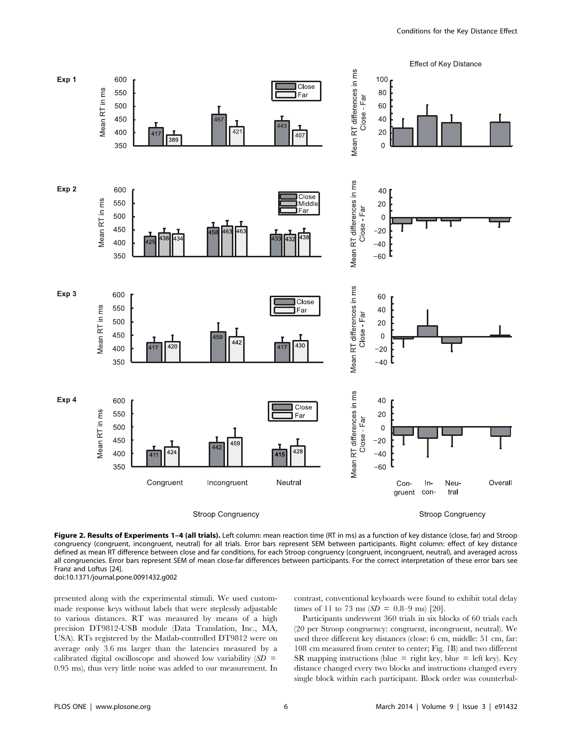

Figure 2. Results of Experiments 1-4 (all trials). Left column: mean reaction time (RT in ms) as a function of key distance (close, far) and Stroop congruency (congruent, incongruent, neutral) for all trials. Error bars represent SEM between participants. Right column: effect of key distance defined as mean RT difference between close and far conditions, for each Stroop congruency (congruent, incongruent, neutral), and averaged across all congruencies. Error bars represent SEM of mean close-far differences between participants. For the correct interpretation of these error bars see Franz and Loftus [24]. doi:10.1371/journal.pone.0091432.g002

presented along with the experimental stimuli. We used custommade response keys without labels that were steplessly adjustable to various distances. RT was measured by means of a high precision DT9812-USB module (Data Translation, Inc., MA, USA). RTs registered by the Matlab-controlled DT9812 were on average only 3.6 ms larger than the latencies measured by a calibrated digital oscilloscope and showed low variability  $(SD =$ 0.95 ms), thus very little noise was added to our measurement. In contrast, conventional keyboards were found to exhibit total delay times of 11 to 73 ms  $(SD = 0.8-9 \text{ ms})$  [20].

Participants underwent 360 trials in six blocks of 60 trials each (20 per Stroop congruency: congruent, incongruent, neutral). We used three different key distances (close: 6 cm, middle: 51 cm, far: 108 cm measured from center to center; Fig. 1B) and two different SR mapping instructions (blue = right key, blue = left key). Key distance changed every two blocks and instructions changed every single block within each participant. Block order was counterbal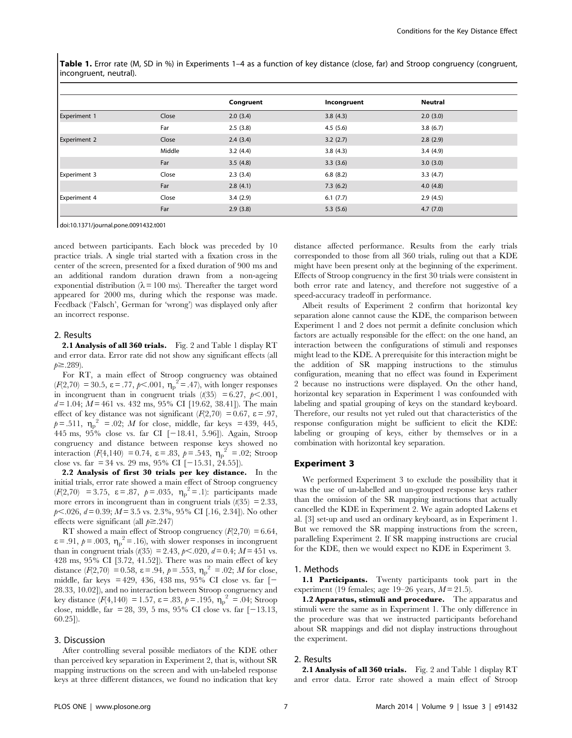Table 1. Error rate (M, SD in %) in Experiments 1–4 as a function of key distance (close, far) and Stroop congruency (congruent, incongruent, neutral).

|                     |        | Congruent | Incongruent | Neutral  |
|---------------------|--------|-----------|-------------|----------|
| <b>Experiment 1</b> | Close  | 2.0(3.4)  | 3.8(4.3)    | 2.0(3.0) |
|                     | Far    | 2.5(3.8)  | 4.5(5.6)    | 3.8(6.7) |
| <b>Experiment 2</b> | Close  | 2.4(3.4)  | 3.2(2.7)    | 2.8(2.9) |
|                     | Middle | 3.2(4.4)  | 3.8(4.3)    | 3.4(4.9) |
|                     | Far    | 3.5(4.8)  | 3.3(3.6)    | 3.0(3.0) |
| <b>Experiment 3</b> | Close  | 2.3(3.4)  | 6.8(8.2)    | 3.3(4.7) |
|                     | Far    | 2.8(4.1)  | 7.3(6.2)    | 4.0(4.8) |
| <b>Experiment 4</b> | Close  | 3.4(2.9)  | 6.1(7.7)    | 2.9(4.5) |
|                     | Far    | 2.9(3.8)  | 5.3(5.6)    | 4.7(7.0) |

doi:10.1371/journal.pone.0091432.t001

anced between participants. Each block was preceded by 10 practice trials. A single trial started with a fixation cross in the center of the screen, presented for a fixed duration of 900 ms and an additional random duration drawn from a non-ageing exponential distribution ( $\lambda = 100$  ms). Thereafter the target word appeared for 2000 ms, during which the response was made. Feedback ('Falsch', German for 'wrong') was displayed only after an incorrect response.

#### 2. Results

2.1 Analysis of all 360 trials. Fig. 2 and Table 1 display RT and error data. Error rate did not show any significant effects (all  $p \ge 0.289$ .

For RT, a main effect of Stroop congruency was obtained  $(F(2,70) = 30.5, \varepsilon = .77, p < .001, \eta_p^2 = .47)$ , with longer responses in incongruent than in congruent trials  $(t(35) = 6.27, p<.001,$  $d = 1.04$ ;  $M = 461$  vs. 432 ms, 95% CI [19.62, 38.41]). The main effect of key distance was not significant ( $F(2,70) = 0.67$ ,  $\varepsilon = .97$ ,  $p = .511$ ,  $\eta_p^2 = .02$ ; *M* for close, middle, far keys = 439, 445, 445 ms, 95% close vs. far CI [-18.41, 5.96]). Again, Stroop congruency and distance between response keys showed no interaction  $(F(4, 140) = 0.74, \varepsilon = .83, p = .543, \eta_p^2 = .02;$  Stroop close vs. far = 34 vs. 29 ms, 95% CI  $[-15.31, 24.55]$ .

2.2 Analysis of first 30 trials per key distance. In the initial trials, error rate showed a main effect of Stroop congruency  $(F(2,70) = 3.75, \varepsilon = .87, p = .035, \eta_p^2 = .1)$ : participants made more errors in incongruent than in congruent trials  $(t(35) = 2.33)$ ,  $p<.026$ ,  $d= 0.39$ ;  $M = 3.5$  vs. 2.3%, 95% CI [.16, 2.34]). No other effects were significant (all  $p \ge 247$ )

RT showed a main effect of Stroop congruency  $(F(2,70) = 6.64,$  $\varepsilon = .91$ ,  $p = .003$ ,  $\eta_p^2 = .16$ ), with slower responses in incongruent than in congruent trials ( $t(35) = 2.43$ ,  $p<.020$ ,  $d= 0.4$ ;  $M = 451$  vs. 428 ms, 95% CI [3.72, 41.52]). There was no main effect of key distance  $(F(2, 70) = 0.58, \varepsilon = .94, p = .553, \eta_p^2 = .02; M$  for close, middle, far keys = 429, 436, 438 ms, 95% CI close vs. far [2 28.33, 10.02]), and no interaction between Stroop congruency and key distance  $(F(4, 140) = 1.57, \varepsilon = .83, p = .195, \eta_p^2 = .04$ ; Stroop close, middle, far = 28, 39, 5 ms, 95% CI close vs. far  $[-13.13, 13.15]$ 60.25]).

# 3. Discussion

After controlling several possible mediators of the KDE other than perceived key separation in Experiment 2, that is, without SR mapping instructions on the screen and with un-labeled response keys at three different distances, we found no indication that key

distance affected performance. Results from the early trials corresponded to those from all 360 trials, ruling out that a KDE might have been present only at the beginning of the experiment. Effects of Stroop congruency in the first 30 trials were consistent in both error rate and latency, and therefore not suggestive of a speed-accuracy tradeoff in performance.

Albeit results of Experiment 2 confirm that horizontal key separation alone cannot cause the KDE, the comparison between Experiment 1 and 2 does not permit a definite conclusion which factors are actually responsible for the effect: on the one hand, an interaction between the configurations of stimuli and responses might lead to the KDE. A prerequisite for this interaction might be the addition of SR mapping instructions to the stimulus configuration, meaning that no effect was found in Experiment 2 because no instructions were displayed. On the other hand, horizontal key separation in Experiment 1 was confounded with labeling and spatial grouping of keys on the standard keyboard. Therefore, our results not yet ruled out that characteristics of the response configuration might be sufficient to elicit the KDE: labeling or grouping of keys, either by themselves or in a combination with horizontal key separation.

#### Experiment 3

We performed Experiment 3 to exclude the possibility that it was the use of un-labelled and un-grouped response keys rather than the omission of the SR mapping instructions that actually cancelled the KDE in Experiment 2. We again adopted Lakens et al. [3] set-up and used an ordinary keyboard, as in Experiment 1. But we removed the SR mapping instructions from the screen, paralleling Experiment 2. If SR mapping instructions are crucial for the KDE, then we would expect no KDE in Experiment 3.

#### 1. Methods

1.1 Participants. Twenty participants took part in the experiment (19 females; age 19–26 years,  $M = 21.5$ ).

1.2 Apparatus, stimuli and procedure. The apparatus and stimuli were the same as in Experiment 1. The only difference in the procedure was that we instructed participants beforehand about SR mappings and did not display instructions throughout the experiment.

#### 2. Results

2.1 Analysis of all 360 trials. Fig. 2 and Table 1 display RT and error data. Error rate showed a main effect of Stroop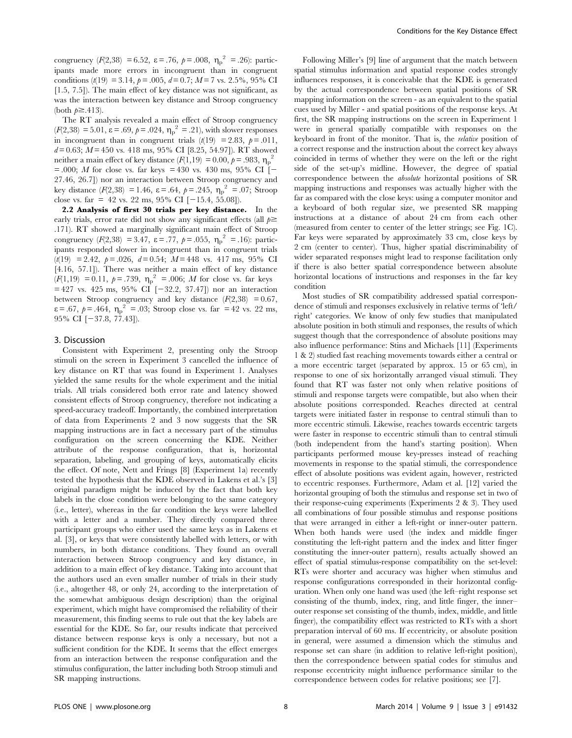congruency ( $F(2,38) = 6.52$ ,  $\varepsilon = .76$ ,  $p = .008$ ,  $\eta_p^2 = .26$ ): participants made more errors in incongruent than in congruent conditions ( $t(19) = 3.14$ ,  $p = .005$ ,  $d = 0.7$ ;  $M = 7$  vs. 2.5%, 95% CI [1.5, 7.5]). The main effect of key distance was not significant, as was the interaction between key distance and Stroop congruency (both  $p \geq .413$ ).

The RT analysis revealed a main effect of Stroop congruency  $(F(2,38) = 5.01, \varepsilon = .69, p = .024, \eta_p^2 = .21)$ , with slower responses in incongruent than in congruent trials  $(t(19) = 2.83, p = .011,$  $d = 0.63$ ;  $M = 450$  vs. 418 ms, 95% CI [8.25, 54.97]). RT showed neither a main effect of key distance ( $F(1,19) = 0.00, p = .983, \eta_p^2$ = .000; *M* for close vs. far keys = 430 vs. 430 ms, 95% CI  $\dot{=}$ 27.46, 26.7]) nor an interaction between Stroop congruency and key distance  $(F(2,38) = 1.46, \varepsilon = .64, p = .245, \eta_p^2 = .07;$  Stroop close vs. far = 42 vs. 22 ms, 95% CI  $[-15.4, 55.08]$ .

2.2 Analysis of first 30 trials per key distance. In the early trials, error rate did not show any significant effects (all  $p \geq$ .171). RT showed a marginally significant main effect of Stroop congruency ( $F(2,38) = 3.47$ ,  $\varepsilon = .77$ ,  $p = .055$ ,  $\eta_p^2 = .16$ ): participants responded slower in incongruent than in congruent trials  $(t(19) = 2.42, p = .026, d = 0.54; M = 448$  vs. 417 ms, 95% CI [4.16, 57.1]). There was neither a main effect of key distance  $(F(1, 19) = 0.11, p = .739, \eta_p^2 = .006; M$  for close vs. far keys  $= 427$  vs. 425 ms, 95% CI  $[-32.2, 37.47]$  nor an interaction between Stroop congruency and key distance  $(F(2,38) = 0.67)$ ,  $\varepsilon = .67$ ,  $p = .464$ ,  $\eta_p^2 = .03$ ; Stroop close vs. far = 42 vs. 22 ms, 95% CI  $[-37.8, 77.43]$ .

# 3. Discussion

Consistent with Experiment 2, presenting only the Stroop stimuli on the screen in Experiment 3 cancelled the influence of key distance on RT that was found in Experiment 1. Analyses yielded the same results for the whole experiment and the initial trials. All trials considered both error rate and latency showed consistent effects of Stroop congruency, therefore not indicating a speed-accuracy tradeoff. Importantly, the combined interpretation of data from Experiments 2 and 3 now suggests that the SR mapping instructions are in fact a necessary part of the stimulus configuration on the screen concerning the KDE. Neither attribute of the response configuration, that is, horizontal separation, labeling, and grouping of keys, automatically elicits the effect. Of note, Nett and Frings [8] (Experiment 1a) recently tested the hypothesis that the KDE observed in Lakens et al.'s [3] original paradigm might be induced by the fact that both key labels in the close condition were belonging to the same category (i.e., letter), whereas in the far condition the keys were labelled with a letter and a number. They directly compared three participant groups who either used the same keys as in Lakens et al. [3], or keys that were consistently labelled with letters, or with numbers, in both distance conditions. They found an overall interaction between Stroop congruency and key distance, in addition to a main effect of key distance. Taking into account that the authors used an even smaller number of trials in their study (i.e., altogether 48, or only 24, according to the interpretation of the somewhat ambiguous design description) than the original experiment, which might have compromised the reliability of their measurement, this finding seems to rule out that the key labels are essential for the KDE. So far, our results indicate that perceived distance between response keys is only a necessary, but not a sufficient condition for the KDE. It seems that the effect emerges from an interaction between the response configuration and the stimulus configuration, the latter including both Stroop stimuli and SR mapping instructions.

Following Miller's [9] line of argument that the match between spatial stimulus information and spatial response codes strongly influences responses, it is conceivable that the KDE is generated by the actual correspondence between spatial positions of SR mapping information on the screen - as an equivalent to the spatial cues used by Miller - and spatial positions of the response keys. At first, the SR mapping instructions on the screen in Experiment 1 were in general spatially compatible with responses on the keyboard in front of the monitor. That is, the relative position of a correct response and the instruction about the correct key always coincided in terms of whether they were on the left or the right side of the set-up's midline. However, the degree of spatial correspondence between the absolute horizontal positions of SR mapping instructions and responses was actually higher with the far as compared with the close keys: using a computer monitor and a keyboard of both regular size, we presented SR mapping instructions at a distance of about 24 cm from each other (measured from center to center of the letter strings; see Fig. 1C). Far keys were separated by approximately 33 cm, close keys by 2 cm (center to center). Thus, higher spatial discriminability of wider separated responses might lead to response facilitation only if there is also better spatial correspondence between absolute horizontal locations of instructions and responses in the far key condition

Most studies of SR compatibility addressed spatial correspondence of stimuli and responses exclusively in relative terms of 'left/ right' categories. We know of only few studies that manipulated absolute position in both stimuli and responses, the results of which suggest though that the correspondence of absolute positions may also influence performance: Stins and Michaels [11] (Experiments 1 & 2) studied fast reaching movements towards either a central or a more eccentric target (separated by approx. 15 or 65 cm), in response to one of six horizontally arranged visual stimuli. They found that RT was faster not only when relative positions of stimuli and response targets were compatible, but also when their absolute positions corresponded. Reaches directed at central targets were initiated faster in response to central stimuli than to more eccentric stimuli. Likewise, reaches towards eccentric targets were faster in response to eccentric stimuli than to central stimuli (both independent from the hand's starting position). When participants performed mouse key-presses instead of reaching movements in response to the spatial stimuli, the correspondence effect of absolute positions was evident again, however, restricted to eccentric responses. Furthermore, Adam et al. [12] varied the horizontal grouping of both the stimulus and response set in two of their response-cuing experiments (Experiments 2 & 3). They used all combinations of four possible stimulus and response positions that were arranged in either a left-right or inner-outer pattern. When both hands were used (the index and middle finger constituting the left-right pattern and the index and litter finger constituting the inner-outer pattern), results actually showed an effect of spatial stimulus-response compatibility on the set-level: RTs were shorter and accuracy was higher when stimulus and response configurations corresponded in their horizontal configuration. When only one hand was used (the left–right response set consisting of the thumb, index, ring, and little finger, the inner– outer response set consisting of the thumb, index, middle, and little finger), the compatibility effect was restricted to RTs with a short preparation interval of 60 ms. If eccentricity, or absolute position in general, were assumed a dimension which the stimulus and response set can share (in addition to relative left-right position), then the correspondence between spatial codes for stimulus and response eccentricity might influence performance similar to the correspondence between codes for relative positions; see [7].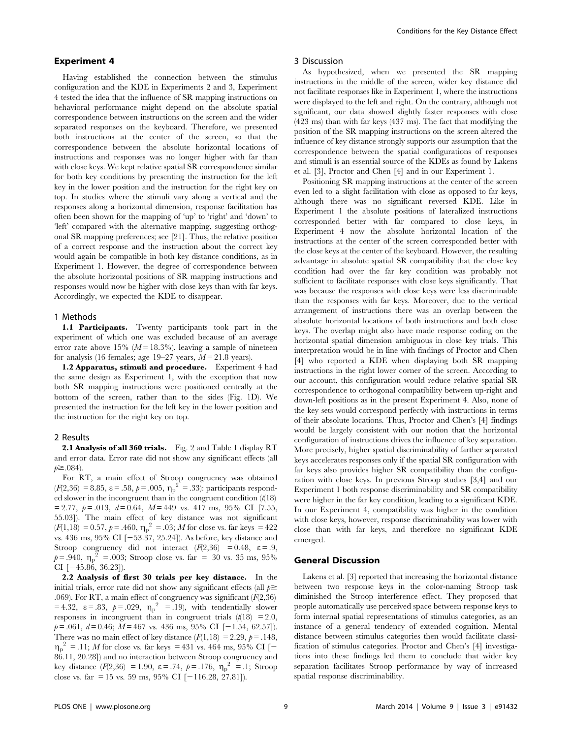## Experiment 4

Having established the connection between the stimulus configuration and the KDE in Experiments 2 and 3, Experiment 4 tested the idea that the influence of SR mapping instructions on behavioral performance might depend on the absolute spatial correspondence between instructions on the screen and the wider separated responses on the keyboard. Therefore, we presented both instructions at the center of the screen, so that the correspondence between the absolute horizontal locations of instructions and responses was no longer higher with far than with close keys. We kept relative spatial SR correspondence similar for both key conditions by presenting the instruction for the left key in the lower position and the instruction for the right key on top. In studies where the stimuli vary along a vertical and the responses along a horizontal dimension, response facilitation has often been shown for the mapping of 'up' to 'right' and 'down' to 'left' compared with the alternative mapping, suggesting orthogonal SR mapping preferences; see [21]. Thus, the relative position of a correct response and the instruction about the correct key would again be compatible in both key distance conditions, as in Experiment 1. However, the degree of correspondence between the absolute horizontal positions of SR mapping instructions and responses would now be higher with close keys than with far keys. Accordingly, we expected the KDE to disappear.

#### 1 Methods

1.1 Participants. Twenty participants took part in the experiment of which one was excluded because of an average error rate above 15%  $(M = 18.3\%)$ , leaving a sample of nineteen for analysis (16 females; age 19–27 years,  $M = 21.8$  years).

1.2 Apparatus, stimuli and procedure. Experiment 4 had the same design as Experiment 1, with the exception that now both SR mapping instructions were positioned centrally at the bottom of the screen, rather than to the sides (Fig. 1D). We presented the instruction for the left key in the lower position and the instruction for the right key on top.

#### 2 Results

2.1 Analysis of all 360 trials. Fig. 2 and Table 1 display RT and error data. Error rate did not show any significant effects (all  $p \ge 0.084$ ).

For RT, a main effect of Stroop congruency was obtained  $(F(2,36) = 8.85, \varepsilon = .58, p = .005, \eta_p^2 = .33)$ : participants responded slower in the incongruent than in the congruent condition  $(t(18))$  $= 2.77, p = .013, d = 0.64, M = 449$  vs. 417 ms, 95% CI [7.55, 55.03]). The main effect of key distance was not significant  $(F(1, 18) = 0.57, p = .460, \eta_p^2 = .03; M$  for close vs. far keys = 422 vs. 436 ms, 95% CI  $[-53.37, 25.24]$ ). As before, key distance and Stroop congruency did not interact  $(F(2,36) = 0.48, \varepsilon = .9,$  $p = .940$ ,  $\eta_p^2 = .003$ ; Stroop close vs. far = 30 vs. 35 ms, 95% CI  $[-45.86, 36.23]$ .

2.2 Analysis of first 30 trials per key distance. In the initial trials, error rate did not show any significant effects (all  $p \geq$ .069). For RT, a main effect of congruency was significant  $(F(2,36))$  $= 4.32, \ \varepsilon = .83, \ \rho = .029, \ \eta_p^2 = .19$ , with tendentially slower responses in incongruent than in congruent trials  $(t/18) = 2.0$ ,  $p = .061, d = 0.46; M = 467$  vs. 436 ms, 95% CI [-1.54, 62.57]). There was no main effect of key distance  $(F(1,18) = 2.29, p = .148,$  $\eta_p^2$  = .11; *M* for close vs. far keys = 431 vs. 464 ms, 95% CI [-86.11, 20.28]) and no interaction between Stroop congruency and key distance  $(F(2,36) = 1.90, \ \varepsilon = .74, \ p = .176, \ \eta_p^2 = .1; \ \text{Strong}$ close vs. far = 15 vs. 59 ms, 95% CI  $[-116.28, 27.81]$ .

#### 3 Discussion

As hypothesized, when we presented the SR mapping instructions in the middle of the screen, wider key distance did not facilitate responses like in Experiment 1, where the instructions were displayed to the left and right. On the contrary, although not significant, our data showed slightly faster responses with close (423 ms) than with far keys (437 ms). The fact that modifying the position of the SR mapping instructions on the screen altered the influence of key distance strongly supports our assumption that the correspondence between the spatial configurations of responses and stimuli is an essential source of the KDEs as found by Lakens et al. [3], Proctor and Chen [4] and in our Experiment 1.

Positioning SR mapping instructions at the center of the screen even led to a slight facilitation with close as opposed to far keys, although there was no significant reversed KDE. Like in Experiment 1 the absolute positions of lateralized instructions corresponded better with far compared to close keys, in Experiment 4 now the absolute horizontal location of the instructions at the center of the screen corresponded better with the close keys at the center of the keyboard. However, the resulting advantage in absolute spatial SR compatibility that the close key condition had over the far key condition was probably not sufficient to facilitate responses with close keys significantly. That was because the responses with close keys were less discriminable than the responses with far keys. Moreover, due to the vertical arrangement of instructions there was an overlap between the absolute horizontal locations of both instructions and both close keys. The overlap might also have made response coding on the horizontal spatial dimension ambiguous in close key trials. This interpretation would be in line with findings of Proctor and Chen [4] who reported a KDE when displaying both SR mapping instructions in the right lower corner of the screen. According to our account, this configuration would reduce relative spatial SR correspondence to orthogonal compatibility between up-right and down-left positions as in the present Experiment 4. Also, none of the key sets would correspond perfectly with instructions in terms of their absolute locations. Thus, Proctor and Chen's [4] findings would be largely consistent with our notion that the horizontal configuration of instructions drives the influence of key separation. More precisely, higher spatial discriminability of farther separated keys accelerates responses only if the spatial SR configuration with far keys also provides higher SR compatibility than the configuration with close keys. In previous Stroop studies [3,4] and our Experiment 1 both response discriminability and SR compatibility were higher in the far key condition, leading to a significant KDE. In our Experiment 4, compatibility was higher in the condition with close keys, however, response discriminability was lower with close than with far keys, and therefore no significant KDE emerged.

# General Discussion

Lakens et al. [3] reported that increasing the horizontal distance between two response keys in the color-naming Stroop task diminished the Stroop interference effect. They proposed that people automatically use perceived space between response keys to form internal spatial representations of stimulus categories, as an instance of a general tendency of extended cognition. Mental distance between stimulus categories then would facilitate classification of stimulus categories. Proctor and Chen's [4] investigations into these findings led them to conclude that wider key separation facilitates Stroop performance by way of increased spatial response discriminability.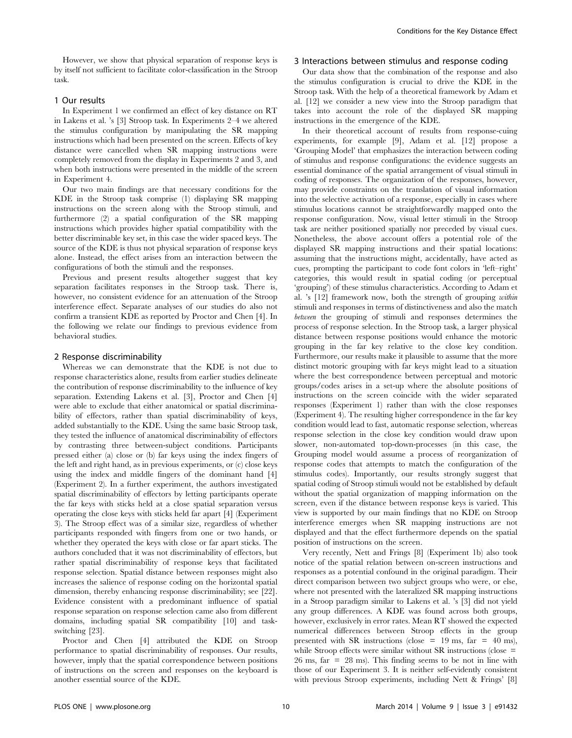However, we show that physical separation of response keys is by itself not sufficient to facilitate color-classification in the Stroop task.

# 1 Our results

In Experiment 1 we confirmed an effect of key distance on RT in Lakens et al. 's [3] Stroop task. In Experiments 2–4 we altered the stimulus configuration by manipulating the SR mapping instructions which had been presented on the screen. Effects of key distance were cancelled when SR mapping instructions were completely removed from the display in Experiments 2 and 3, and when both instructions were presented in the middle of the screen in Experiment 4.

Our two main findings are that necessary conditions for the KDE in the Stroop task comprise (1) displaying SR mapping instructions on the screen along with the Stroop stimuli, and furthermore (2) a spatial configuration of the SR mapping instructions which provides higher spatial compatibility with the better discriminable key set, in this case the wider spaced keys. The source of the KDE is thus not physical separation of response keys alone. Instead, the effect arises from an interaction between the configurations of both the stimuli and the responses.

Previous and present results altogether suggest that key separation facilitates responses in the Stroop task. There is, however, no consistent evidence for an attenuation of the Stroop interference effect. Separate analyses of our studies do also not confirm a transient KDE as reported by Proctor and Chen [4]. In the following we relate our findings to previous evidence from behavioral studies.

#### 2 Response discriminability

Whereas we can demonstrate that the KDE is not due to response characteristics alone, results from earlier studies delineate the contribution of response discriminability to the influence of key separation. Extending Lakens et al. [3], Proctor and Chen [4] were able to exclude that either anatomical or spatial discriminability of effectors, rather than spatial discriminability of keys, added substantially to the KDE. Using the same basic Stroop task, they tested the influence of anatomical discriminability of effectors by contrasting three between-subject conditions. Participants pressed either (a) close or (b) far keys using the index fingers of the left and right hand, as in previous experiments, or (c) close keys using the index and middle fingers of the dominant hand [4] (Experiment 2). In a further experiment, the authors investigated spatial discriminability of effectors by letting participants operate the far keys with sticks held at a close spatial separation versus operating the close keys with sticks held far apart [4] (Experiment 3). The Stroop effect was of a similar size, regardless of whether participants responded with fingers from one or two hands, or whether they operated the keys with close or far apart sticks. The authors concluded that it was not discriminability of effectors, but rather spatial discriminability of response keys that facilitated response selection. Spatial distance between responses might also increases the salience of response coding on the horizontal spatial dimension, thereby enhancing response discriminability; see [22]. Evidence consistent with a predominant influence of spatial response separation on response selection came also from different domains, including spatial SR compatibility [10] and taskswitching [23].

Proctor and Chen [4] attributed the KDE on Stroop performance to spatial discriminability of responses. Our results, however, imply that the spatial correspondence between positions of instructions on the screen and responses on the keyboard is another essential source of the KDE.

### 3 Interactions between stimulus and response coding

Our data show that the combination of the response and also the stimulus configuration is crucial to drive the KDE in the Stroop task. With the help of a theoretical framework by Adam et al. [12] we consider a new view into the Stroop paradigm that takes into account the role of the displayed SR mapping instructions in the emergence of the KDE.

In their theoretical account of results from response-cuing experiments, for example [9], Adam et al. [12] propose a 'Grouping Model' that emphasizes the interaction between coding of stimulus and response configurations: the evidence suggests an essential dominance of the spatial arrangement of visual stimuli in coding of responses. The organization of the responses, however, may provide constraints on the translation of visual information into the selective activation of a response, especially in cases where stimulus locations cannot be straightforwardly mapped onto the response configuration. Now, visual letter stimuli in the Stroop task are neither positioned spatially nor preceded by visual cues. Nonetheless, the above account offers a potential role of the displayed SR mapping instructions and their spatial locations: assuming that the instructions might, accidentally, have acted as cues, prompting the participant to code font colors in 'left–right' categories, this would result in spatial coding (or perceptual 'grouping') of these stimulus characteristics. According to Adam et al. 's [12] framework now, both the strength of grouping within stimuli and responses in terms of distinctiveness and also the match between the grouping of stimuli and responses determines the process of response selection. In the Stroop task, a larger physical distance between response positions would enhance the motoric grouping in the far key relative to the close key condition. Furthermore, our results make it plausible to assume that the more distinct motoric grouping with far keys might lead to a situation where the best correspondence between perceptual and motoric groups/codes arises in a set-up where the absolute positions of instructions on the screen coincide with the wider separated responses (Experiment 1) rather than with the close responses (Experiment 4). The resulting higher correspondence in the far key condition would lead to fast, automatic response selection, whereas response selection in the close key condition would draw upon slower, non-automated top-down-processes (in this case, the Grouping model would assume a process of reorganization of response codes that attempts to match the configuration of the stimulus codes). Importantly, our results strongly suggest that spatial coding of Stroop stimuli would not be established by default without the spatial organization of mapping information on the screen, even if the distance between response keys is varied. This view is supported by our main findings that no KDE on Stroop interference emerges when SR mapping instructions are not displayed and that the effect furthermore depends on the spatial position of instructions on the screen.

Very recently, Nett and Frings [8] (Experiment 1b) also took notice of the spatial relation between on-screen instructions and responses as a potential confound in the original paradigm. Their direct comparison between two subject groups who were, or else, where not presented with the lateralized SR mapping instructions in a Stroop paradigm similar to Lakens et al. 's [3] did not yield any group differences. A KDE was found across both groups, however, exclusively in error rates. Mean RT showed the expected numerical differences between Stroop effects in the group presented with SR instructions (close =  $19 \text{ ms}$ , far =  $40 \text{ ms}$ ), while Stroop effects were similar without SR instructions (close = 26 ms, far = 28 ms). This finding seems to be not in line with those of our Experiment 3. It is neither self-evidently consistent with previous Stroop experiments, including Nett & Frings' [8]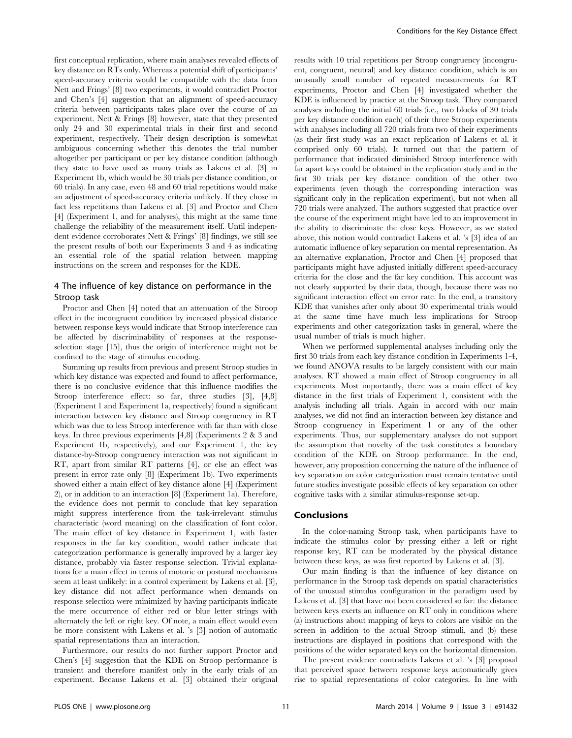first conceptual replication, where main analyses revealed effects of key distance on RTs only. Whereas a potential shift of participants' speed-accuracy criteria would be compatible with the data from Nett and Frings' [8] two experiments, it would contradict Proctor and Chen's [4] suggestion that an alignment of speed-accuracy criteria between participants takes place over the course of an experiment. Nett & Frings [8] however, state that they presented only 24 and 30 experimental trials in their first and second experiment, respectively. Their design description is somewhat ambiguous concerning whether this denotes the trial number altogether per participant or per key distance condition (although they state to have used as many trials as Lakens et al. [3] in Experiment 1b, which would be 30 trials per distance condition, or 60 trials). In any case, even 48 and 60 trial repetitions would make an adjustment of speed-accuracy criteria unlikely. If they chose in fact less repetitions than Lakens et al. [3] and Proctor and Chen [4] (Experiment 1, and for analyses), this might at the same time challenge the reliability of the measurement itself. Until independent evidence corroborates Nett & Frings' [8] findings, we still see the present results of both our Experiments 3 and 4 as indicating an essential role of the spatial relation between mapping instructions on the screen and responses for the KDE.

# 4 The influence of key distance on performance in the Stroop task

Proctor and Chen [4] noted that an attenuation of the Stroop effect in the incongruent condition by increased physical distance between response keys would indicate that Stroop interference can be affected by discriminability of responses at the responseselection stage [15], thus the origin of interference might not be confined to the stage of stimulus encoding.

Summing up results from previous and present Stroop studies in which key distance was expected and found to affect performance, there is no conclusive evidence that this influence modifies the Stroop interference effect: so far, three studies [3], [4,8] (Experiment 1 and Experiment 1a, respectively) found a significant interaction between key distance and Stroop congruency in RT which was due to less Stroop interference with far than with close keys. In three previous experiments [4,8] (Experiments 2 & 3 and Experiment 1b, respectively), and our Experiment 1, the key distance-by-Stroop congruency interaction was not significant in RT, apart from similar RT patterns [4], or else an effect was present in error rate only [8] (Experiment 1b). Two experiments showed either a main effect of key distance alone [4] (Experiment 2), or in addition to an interaction [8] (Experiment 1a). Therefore, the evidence does not permit to conclude that key separation might suppress interference from the task-irrelevant stimulus characteristic (word meaning) on the classification of font color. The main effect of key distance in Experiment 1, with faster responses in the far key condition, would rather indicate that categorization performance is generally improved by a larger key distance, probably via faster response selection. Trivial explanations for a main effect in terms of motoric or postural mechanisms seem at least unlikely: in a control experiment by Lakens et al. [3], key distance did not affect performance when demands on response selection were minimized by having participants indicate the mere occurrence of either red or blue letter strings with alternately the left or right key. Of note, a main effect would even be more consistent with Lakens et al. 's [3] notion of automatic spatial representations than an interaction.

Furthermore, our results do not further support Proctor and Chen's [4] suggestion that the KDE on Stroop performance is transient and therefore manifest only in the early trials of an experiment. Because Lakens et al. [3] obtained their original

results with 10 trial repetitions per Stroop congruency (incongruent, congruent, neutral) and key distance condition, which is an unusually small number of repeated measurements for RT experiments, Proctor and Chen [4] investigated whether the KDE is influenced by practice at the Stroop task. They compared analyses including the initial 60 trials (i.e., two blocks of 30 trials per key distance condition each) of their three Stroop experiments with analyses including all 720 trials from two of their experiments (as their first study was an exact replication of Lakens et al. it comprised only 60 trials). It turned out that the pattern of performance that indicated diminished Stroop interference with far apart keys could be obtained in the replication study and in the first 30 trials per key distance condition of the other two experiments (even though the corresponding interaction was significant only in the replication experiment), but not when all 720 trials were analyzed. The authors suggested that practice over the course of the experiment might have led to an improvement in the ability to discriminate the close keys. However, as we stated above, this notion would contradict Lakens et al. 's [3] idea of an automatic influence of key separation on mental representation. As an alternative explanation, Proctor and Chen [4] proposed that participants might have adjusted initially different speed-accuracy criteria for the close and the far key condition. This account was not clearly supported by their data, though, because there was no significant interaction effect on error rate. In the end, a transitory KDE that vanishes after only about 30 experimental trials would at the same time have much less implications for Stroop experiments and other categorization tasks in general, where the usual number of trials is much higher.

When we performed supplemental analyses including only the first 30 trials from each key distance condition in Experiments 1-4, we found ANOVA results to be largely consistent with our main analyses. RT showed a main effect of Stroop congruency in all experiments. Most importantly, there was a main effect of key distance in the first trials of Experiment 1, consistent with the analysis including all trials. Again in accord with our main analyses, we did not find an interaction between key distance and Stroop congruency in Experiment 1 or any of the other experiments. Thus, our supplementary analyses do not support the assumption that novelty of the task constitutes a boundary condition of the KDE on Stroop performance. In the end, however, any proposition concerning the nature of the influence of key separation on color categorization must remain tentative until future studies investigate possible effects of key separation on other cognitive tasks with a similar stimulus-response set-up.

#### Conclusions

In the color-naming Stroop task, when participants have to indicate the stimulus color by pressing either a left or right response key, RT can be moderated by the physical distance between these keys, as was first reported by Lakens et al. [3].

Our main finding is that the influence of key distance on performance in the Stroop task depends on spatial characteristics of the unusual stimulus configuration in the paradigm used by Lakens et al. [3] that have not been considered so far: the distance between keys exerts an influence on RT only in conditions where (a) instructions about mapping of keys to colors are visible on the screen in addition to the actual Stroop stimuli, and (b) these instructions are displayed in positions that correspond with the positions of the wider separated keys on the horizontal dimension.

The present evidence contradicts Lakens et al. 's [3] proposal that perceived space between response keys automatically gives rise to spatial representations of color categories. In line with